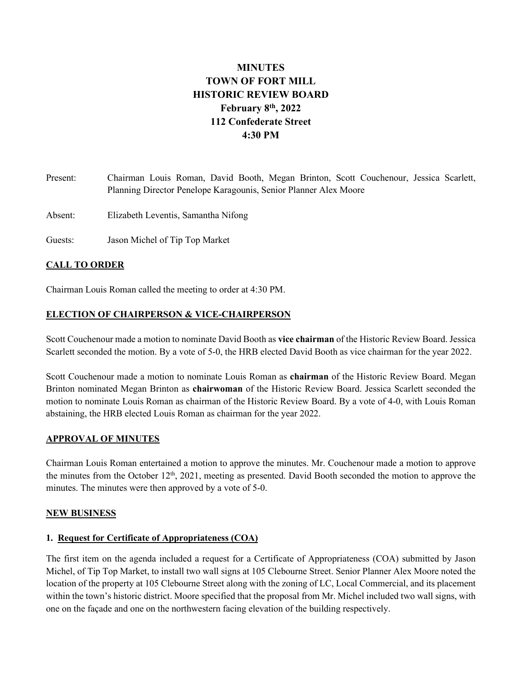# **MINUTES TOWN OF FORT MILL HISTORIC REVIEW BOARD February 8th, 2022 112 Confederate Street 4:30 PM**

Present: Chairman Louis Roman, David Booth, Megan Brinton, Scott Couchenour, Jessica Scarlett, Planning Director Penelope Karagounis, Senior Planner Alex Moore

Absent: Elizabeth Leventis, Samantha Nifong

Guests: Jason Michel of Tip Top Market

## **CALL TO ORDER**

Chairman Louis Roman called the meeting to order at 4:30 PM.

## **ELECTION OF CHAIRPERSON & VICE-CHAIRPERSON**

Scott Couchenour made a motion to nominate David Booth as **vice chairman** of the Historic Review Board. Jessica Scarlett seconded the motion. By a vote of 5-0, the HRB elected David Booth as vice chairman for the year 2022.

Scott Couchenour made a motion to nominate Louis Roman as **chairman** of the Historic Review Board. Megan Brinton nominated Megan Brinton as **chairwoman** of the Historic Review Board. Jessica Scarlett seconded the motion to nominate Louis Roman as chairman of the Historic Review Board. By a vote of 4-0, with Louis Roman abstaining, the HRB elected Louis Roman as chairman for the year 2022.

## **APPROVAL OF MINUTES**

Chairman Louis Roman entertained a motion to approve the minutes. Mr. Couchenour made a motion to approve the minutes from the October  $12<sup>th</sup>$ , 2021, meeting as presented. David Booth seconded the motion to approve the minutes. The minutes were then approved by a vote of 5-0.

## **NEW BUSINESS**

## **1. Request for Certificate of Appropriateness (COA)**

The first item on the agenda included a request for a Certificate of Appropriateness (COA) submitted by Jason Michel, of Tip Top Market, to install two wall signs at 105 Clebourne Street. Senior Planner Alex Moore noted the location of the property at 105 Clebourne Street along with the zoning of LC, Local Commercial, and its placement within the town's historic district. Moore specified that the proposal from Mr. Michel included two wall signs, with one on the façade and one on the northwestern facing elevation of the building respectively.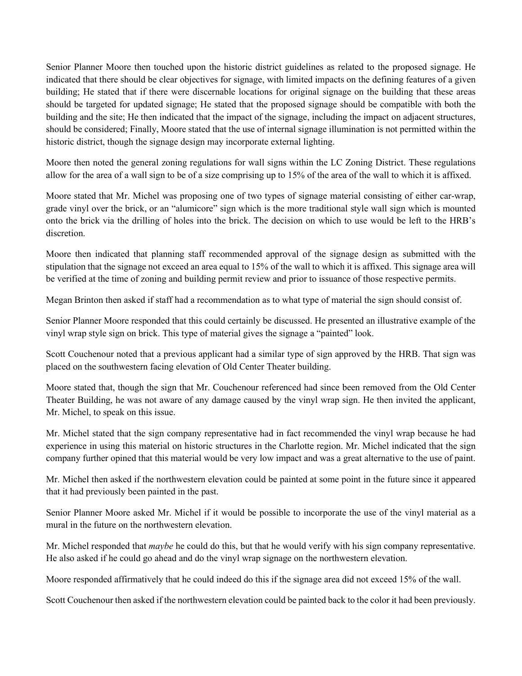Senior Planner Moore then touched upon the historic district guidelines as related to the proposed signage. He indicated that there should be clear objectives for signage, with limited impacts on the defining features of a given building; He stated that if there were discernable locations for original signage on the building that these areas should be targeted for updated signage; He stated that the proposed signage should be compatible with both the building and the site; He then indicated that the impact of the signage, including the impact on adjacent structures, should be considered; Finally, Moore stated that the use of internal signage illumination is not permitted within the historic district, though the signage design may incorporate external lighting.

Moore then noted the general zoning regulations for wall signs within the LC Zoning District. These regulations allow for the area of a wall sign to be of a size comprising up to 15% of the area of the wall to which it is affixed.

Moore stated that Mr. Michel was proposing one of two types of signage material consisting of either car-wrap, grade vinyl over the brick, or an "alumicore" sign which is the more traditional style wall sign which is mounted onto the brick via the drilling of holes into the brick. The decision on which to use would be left to the HRB's discretion.

Moore then indicated that planning staff recommended approval of the signage design as submitted with the stipulation that the signage not exceed an area equal to 15% of the wall to which it is affixed. This signage area will be verified at the time of zoning and building permit review and prior to issuance of those respective permits.

Megan Brinton then asked if staff had a recommendation as to what type of material the sign should consist of.

Senior Planner Moore responded that this could certainly be discussed. He presented an illustrative example of the vinyl wrap style sign on brick. This type of material gives the signage a "painted" look.

Scott Couchenour noted that a previous applicant had a similar type of sign approved by the HRB. That sign was placed on the southwestern facing elevation of Old Center Theater building.

Moore stated that, though the sign that Mr. Couchenour referenced had since been removed from the Old Center Theater Building, he was not aware of any damage caused by the vinyl wrap sign. He then invited the applicant, Mr. Michel, to speak on this issue.

Mr. Michel stated that the sign company representative had in fact recommended the vinyl wrap because he had experience in using this material on historic structures in the Charlotte region. Mr. Michel indicated that the sign company further opined that this material would be very low impact and was a great alternative to the use of paint.

Mr. Michel then asked if the northwestern elevation could be painted at some point in the future since it appeared that it had previously been painted in the past.

Senior Planner Moore asked Mr. Michel if it would be possible to incorporate the use of the vinyl material as a mural in the future on the northwestern elevation.

Mr. Michel responded that *maybe* he could do this, but that he would verify with his sign company representative. He also asked if he could go ahead and do the vinyl wrap signage on the northwestern elevation.

Moore responded affirmatively that he could indeed do this if the signage area did not exceed 15% of the wall.

Scott Couchenour then asked if the northwestern elevation could be painted back to the color it had been previously.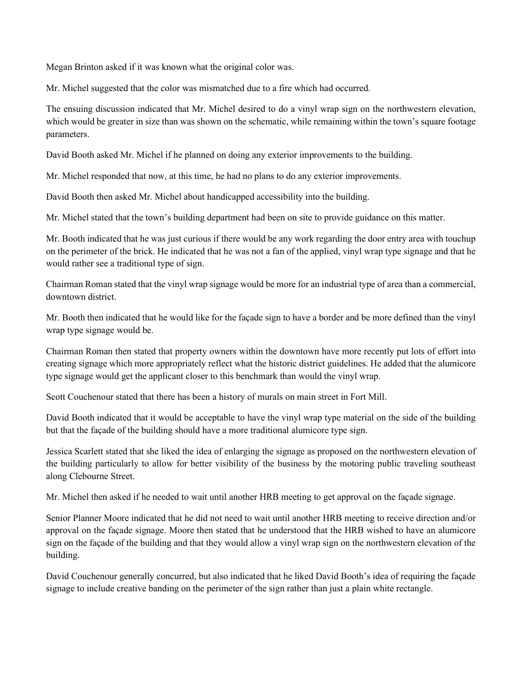Megan Brinton asked if it was known what the original color was.

Mr. Michel suggested that the color was mismatched due to a fire which had occurred.

The ensuing discussion indicated that Mr. Michel desired to do a vinyl wrap sign on the northwestern elevation, which would be greater in size than was shown on the schematic, while remaining within the town's square footage parameters.

David Booth asked Mr. Michel if he planned on doing any exterior improvements to the building.

Mr. Michel responded that now, at this time, he had no plans to do any exterior improvements.

David Booth then asked Mr. Michel about handicapped accessibility into the building.

Mr. Michel stated that the town's building department had been on site to provide guidance on this matter.

Mr. Booth indicated that he was just curious if there would be any work regarding the door entry area with touchup on the perimeter of the brick. He indicated that he was not a fan of the applied, vinyl wrap type signage and that he would rather see a traditional type of sign.

Chairman Roman stated that the vinyl wrap signage would be more for an industrial type of area than a commercial, downtown district.

Mr. Booth then indicated that he would like for the façade sign to have a border and be more defined than the vinyl wrap type signage would be.

Chairman Roman then stated that property owners within the downtown have more recently put lots of effort into creating signage which more appropriately reflect what the historic district guidelines. He added that the alumicore type signage would get the applicant closer to this benchmark than would the vinyl wrap.

Scott Couchenour stated that there has been a history of murals on main street in Fort Mill.

David Booth indicated that it would be acceptable to have the vinyl wrap type material on the side of the building but that the façade of the building should have a more traditional alumicore type sign.

Jessica Scarlett stated that she liked the idea of enlarging the signage as proposed on the northwestern elevation of the building particularly to allow for better visibility of the business by the motoring public traveling southeast along Clebourne Street.

Mr. Michel then asked if he needed to wait until another HRB meeting to get approval on the façade signage.

Senior Planner Moore indicated that he did not need to wait until another HRB meeting to receive direction and/or approval on the façade signage. Moore then stated that he understood that the HRB wished to have an alumicore sign on the façade of the building and that they would allow a vinyl wrap sign on the northwestern elevation of the building.

David Couchenour generally concurred, but also indicated that he liked David Booth's idea of requiring the façade signage to include creative banding on the perimeter of the sign rather than just a plain white rectangle.